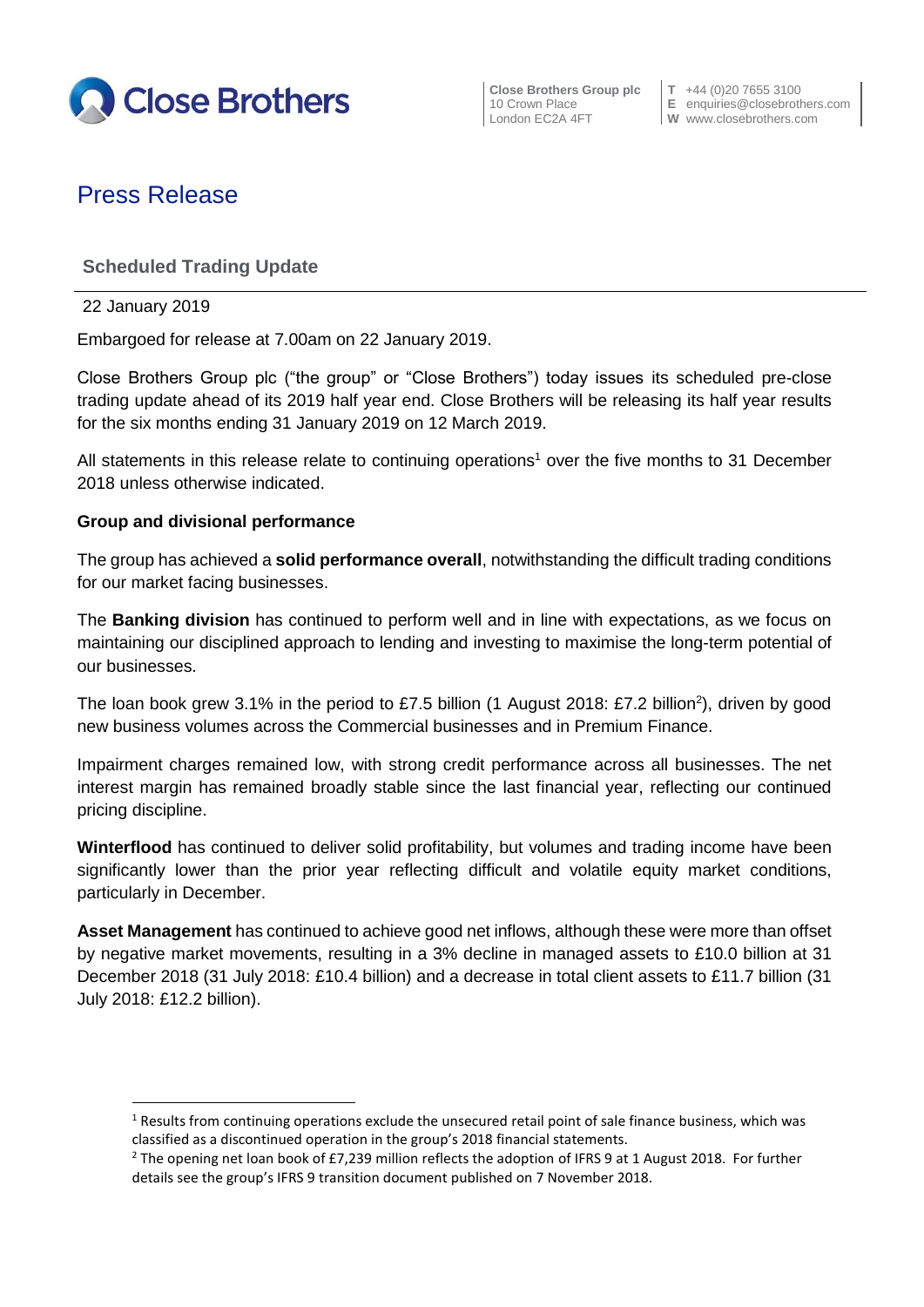

**Close Brothers Group plc**  $\begin{bmatrix} T & +44 & (0)20 & 7655 & 3100 \\ 10 & Crown \text{ Place} & E & \text{enaurities} \textcircled{} \text{closeb} \end{bmatrix}$ 

10 Crown Place **E** enquiries@closebrothers.com<br>
London EC2A 4FT **W** www.closebrothers.com **W** www.closebrothers.com

# Press Release

## **Scheduled Trading Update**

22 January 2019

**.** 

Embargoed for release at 7.00am on 22 January 2019.

Close Brothers Group plc ("the group" or "Close Brothers") today issues its scheduled pre-close trading update ahead of its 2019 half year end. Close Brothers will be releasing its half year results for the six months ending 31 January 2019 on 12 March 2019.

All statements in this release relate to continuing operations<sup>1</sup> over the five months to 31 December 2018 unless otherwise indicated.

## **Group and divisional performance**

The group has achieved a **solid performance overall**, notwithstanding the difficult trading conditions for our market facing businesses.

The **Banking division** has continued to perform well and in line with expectations, as we focus on maintaining our disciplined approach to lending and investing to maximise the long-term potential of our businesses.

The loan book grew 3.1% in the period to £7.5 billion (1 August 2018: £7.2 billion<sup>2</sup>), driven by good new business volumes across the Commercial businesses and in Premium Finance.

Impairment charges remained low, with strong credit performance across all businesses. The net interest margin has remained broadly stable since the last financial year, reflecting our continued pricing discipline.

**Winterflood** has continued to deliver solid profitability, but volumes and trading income have been significantly lower than the prior year reflecting difficult and volatile equity market conditions, particularly in December.

**Asset Management** has continued to achieve good net inflows, although these were more than offset by negative market movements, resulting in a 3% decline in managed assets to £10.0 billion at 31 December 2018 (31 July 2018: £10.4 billion) and a decrease in total client assets to £11.7 billion (31 July 2018: £12.2 billion).

 $<sup>1</sup>$  Results from continuing operations exclude the unsecured retail point of sale finance business, which was</sup> classified as a discontinued operation in the group's 2018 financial statements.

<sup>&</sup>lt;sup>2</sup> The opening net loan book of £7,239 million reflects the adoption of IFRS 9 at 1 August 2018. For further details see the group's IFRS 9 transition document published on 7 November 2018.